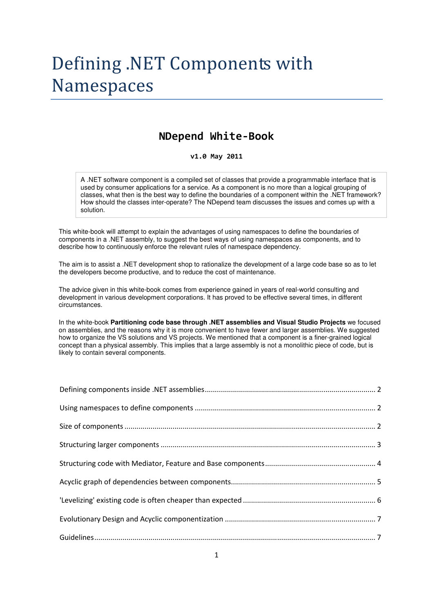# Defining .NET Components with Namespaces

### NDepend White-Book

#### v1.0 May 2011

A .NET software component is a compiled set of classes that provide a programmable interface that is used by consumer applications for a service. As a component is no more than a logical grouping of classes, what then is the best way to define the boundaries of a component within the .NET framework? How should the classes inter-operate? The NDepend team discusses the issues and comes up with a solution.

This white-book will attempt to explain the advantages of using namespaces to define the boundaries of components in a .NET assembly, to suggest the best ways of using namespaces as components, and to describe how to continuously enforce the relevant rules of namespace dependency.

The aim is to assist a .NET development shop to rationalize the development of a large code base so as to let the developers become productive, and to reduce the cost of maintenance.

The advice given in this white-book comes from experience gained in years of real-world consulting and development in various development corporations. It has proved to be effective several times, in different circumstances.

In the white-book **Partitioning code base through .NET assemblies and Visual Studio Projects** we focused on assemblies, and the reasons why it is more convenient to have fewer and larger assemblies. We suggested how to organize the VS solutions and VS projects. We mentioned that a component is a finer-grained logical concept than a physical assembly. This implies that a large assembly is not a monolithic piece of code, but is likely to contain several components.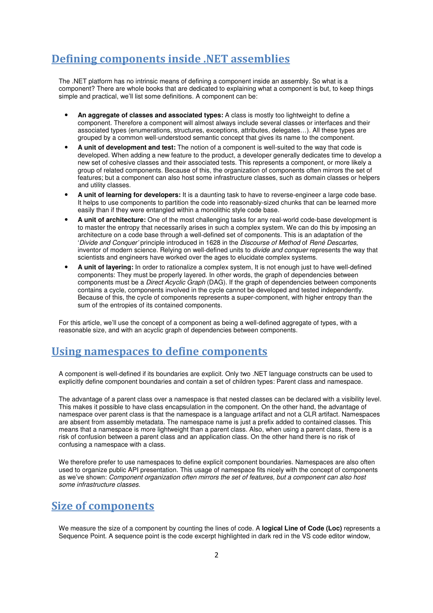### Defining components inside .NET assemblies

The .NET platform has no intrinsic means of defining a component inside an assembly. So what is a component? There are whole books that are dedicated to explaining what a component is but, to keep things simple and practical, we'll list some definitions. A component can be:

- **An aggregate of classes and associated types:** A class is mostly too lightweight to define a component. Therefore a component will almost always include several classes or interfaces and their associated types (enumerations, structures, exceptions, attributes, delegates…). All these types are grouped by a common well-understood semantic concept that gives its name to the component.
- **A unit of development and test:** The notion of a component is well-suited to the way that code is developed. When adding a new feature to the product, a developer generally dedicates time to develop a new set of cohesive classes and their associated tests. This represents a component, or more likely a group of related components. Because of this, the organization of components often mirrors the set of features; but a component can also host some infrastructure classes, such as domain classes or helpers and utility classes.
- **A unit of learning for developers:** It is a daunting task to have to reverse-engineer a large code base. It helps to use components to partition the code into reasonably-sized chunks that can be learned more easily than if they were entangled within a monolithic style code base.
- **A unit of architecture:** One of the most challenging tasks for any real-world code-base development is to master the entropy that necessarily arises in such a complex system. We can do this by imposing an architecture on a code base through a well-defined set of components. This is an adaptation of the 'Divide and Conquer' principle introduced in 1628 in the Discourse of Method of René Descartes, inventor of modern science. Relying on well-defined units to *divide and conquer* represents the way that scientists and engineers have worked over the ages to elucidate complex systems.
- **A unit of layering:** In order to rationalize a complex system, It is not enough just to have well-defined components: They must be properly layered. In other words, the graph of dependencies between components must be a Direct Acyclic Graph (DAG). If the graph of dependencies between components contains a cycle, components involved in the cycle cannot be developed and tested independently. Because of this, the cycle of components represents a super-component, with higher entropy than the sum of the entropies of its contained components.

For this article, we'll use the concept of a component as being a well-defined aggregate of types, with a reasonable size, and with an acyclic graph of dependencies between components.

### Using namespaces to define components

A component is well-defined if its boundaries are explicit. Only two .NET language constructs can be used to explicitly define component boundaries and contain a set of children types: Parent class and namespace.

The advantage of a parent class over a namespace is that nested classes can be declared with a visibility level. This makes it possible to have class encapsulation in the component. On the other hand, the advantage of namespace over parent class is that the namespace is a language artifact and not a CLR artifact. Namespaces are absent from assembly metadata. The namespace name is just a prefix added to contained classes. This means that a namespace is more lightweight than a parent class. Also, when using a parent class, there is a risk of confusion between a parent class and an application class. On the other hand there is no risk of confusing a namespace with a class.

We therefore prefer to use namespaces to define explicit component boundaries. Namespaces are also often used to organize public API presentation. This usage of namespace fits nicely with the concept of components as we've shown: Component organization often mirrors the set of features, but a component can also host some infrastructure classes.

# Size of components

We measure the size of a component by counting the lines of code. A **logical Line of Code (Loc)** represents a Sequence Point. A sequence point is the code excerpt highlighted in dark red in the VS code editor window,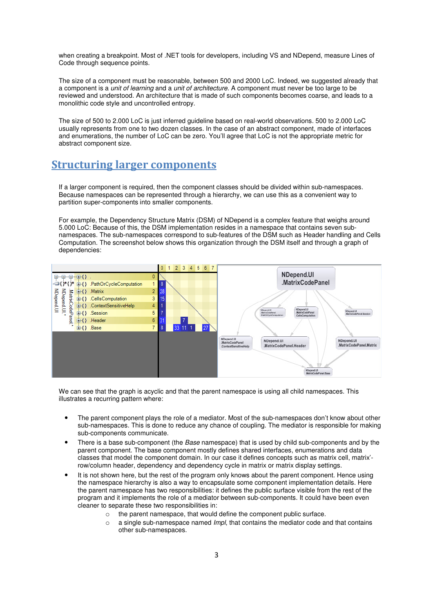when creating a breakpoint. Most of .NET tools for developers, including VS and NDepend, measure Lines of Code through sequence points.

The size of a component must be reasonable, between 500 and 2000 LoC. Indeed, we suggested already that a component is a unit of learning and a unit of architecture. A component must never be too large to be reviewed and understood. An architecture that is made of such components becomes coarse, and leads to a monolithic code style and uncontrolled entropy.

The size of 500 to 2.000 LoC is just inferred guideline based on real-world observations. 500 to 2.000 LoC usually represents from one to two dozen classes. In the case of an abstract component, made of interfaces and enumerations, the number of LoC can be zero. You'll agree that LoC is not the appropriate metric for abstract component size.

### **Structuring larger components**

If a larger component is required, then the component classes should be divided within sub-namespaces. Because namespaces can be represented through a hierarchy, we can use this as a convenient way to partition super-components into smaller components.

For example, the Dependency Structure Matrix (DSM) of NDepend is a complex feature that weighs around 5.000 LoC: Because of this, the DSM implementation resides in a namespace that contains seven subnamespaces. The sub-namespaces correspond to sub-features of the DSM such as Header handling and Cells Computation. The screenshot below shows this organization through the DSM itself and through a graph of dependencies:



We can see that the graph is acyclic and that the parent namespace is using all child namespaces. This illustrates a recurring pattern where:

- The parent component plays the role of a mediator. Most of the sub-namespaces don't know about other sub-namespaces. This is done to reduce any chance of coupling. The mediator is responsible for making sub-components communicate.
- There is a base sub-component (the *Base* namespace) that is used by child sub-components and by the parent component. The base component mostly defines shared interfaces, enumerations and data classes that model the component domain. In our case it defines concepts such as matrix cell, matrix' row/column header, dependency and dependency cycle in matrix or matrix display settings.
- It is not shown here, but the rest of the program only knows about the parent component. Hence using the namespace hierarchy is also a way to encapsulate some component implementation details. Here the parent namespace has two responsibilities: it defines the public surface visible from the rest of the program and it implements the role of a mediator between sub-components. It could have been even cleaner to separate these two responsibilities in:
	- o the parent namespace, that would define the component public surface.
	- $\circ$  a single sub-namespace named *Impl*, that contains the mediator code and that contains other sub-namespaces.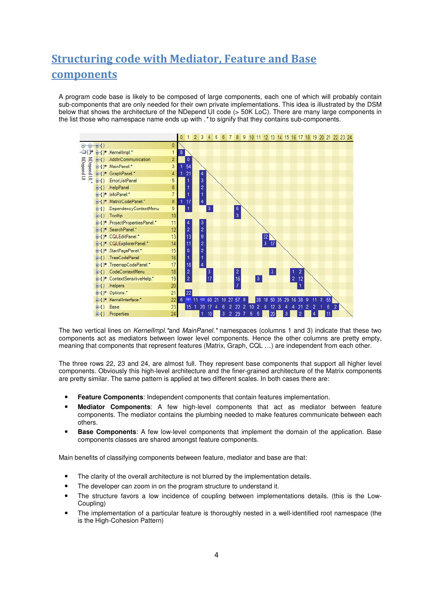# Structuring code with Mediator, Feature and Base

### components

A program code base is likely to be composed of large components, each one of which will probably contain sub-components that are only needed for their own private implementations. This idea is illustrated by the DSM below that shows the architecture of the NDepend UI code (> 50K LoC). There are many large components in the list those who namespace name ends up with .\* to signify that they contains sub-components.



The two vertical lines on KernelImpl.\*and MainPanel.\* namespaces (columns 1 and 3) indicate that these two components act as mediators between lower level components. Hence the other columns are pretty empty, meaning that components that represent features (Matrix, Graph, CQL …) are independent from each other.

The three rows 22, 23 and 24, are almost full. They represent base components that support all higher level components. Obviously this high-level architecture and the finer-grained architecture of the Matrix components are pretty similar. The same pattern is applied at two different scales. In both cases there are:

- **Feature Components**: Independent components that contain features implementation.
- **Mediator Components**: A few high-level components that act as mediator between feature components. The mediator contains the plumbing needed to make features communicate between each others.
- **Base Components**: A few low-level components that implement the domain of the application. Base components classes are shared amongst feature components.

Main benefits of classifying components between feature, mediator and base are that:

- The clarity of the overall architecture is not blurred by the implementation details.
- The developer can zoom in on the program structure to understand it.
- The structure favors a low incidence of coupling between implementations details. (this is the Low-Coupling)
- The implementation of a particular feature is thoroughly nested in a well-identified root namespace (the is the High-Cohesion Pattern)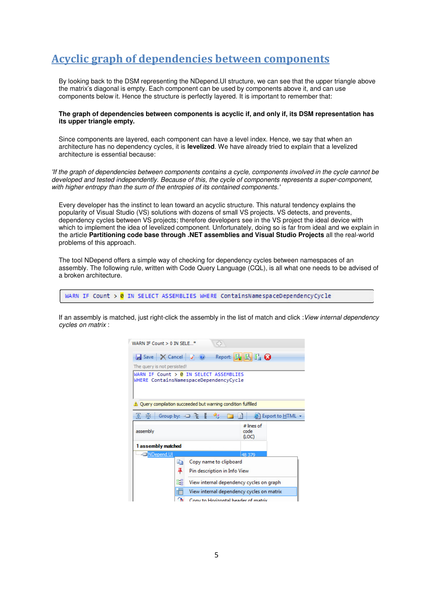# Acyclic graph of dependencies between components

By looking back to the DSM representing the NDepend.UI structure, we can see that the upper triangle above the matrix's diagonal is empty. Each component can be used by components above it, and can use components below it. Hence the structure is perfectly layered. It is important to remember that:

#### **The graph of dependencies between components is acyclic if, and only if, its DSM representation has its upper triangle empty.**

Since components are layered, each component can have a level index. Hence, we say that when an architecture has no dependency cycles, it is **levelized**. We have already tried to explain that a levelized architecture is essential because:

'If the graph of dependencies between components contains a cycle, components involved in the cycle cannot be developed and tested independently. Because of this, the cycle of components represents a super-component, with higher entropy than the sum of the entropies of its contained components.'

Every developer has the instinct to lean toward an acyclic structure. This natural tendency explains the popularity of Visual Studio (VS) solutions with dozens of small VS projects. VS detects, and prevents, dependency cycles between VS projects; therefore developers see in the VS project the ideal device with which to implement the idea of levelized component. Unfortunately, doing so is far from ideal and we explain in the article **Partitioning code base through .NET assemblies and Visual Studio Projects** all the real-world problems of this approach.

The tool NDepend offers a simple way of checking for dependency cycles between namespaces of an assembly. The following rule, written with Code Query Language (CQL), is all what one needs to be advised of a broken architecture.

WARN IF Count  $> 0$  IN SELECT ASSEMBLIES WHERE ContainsNamespaceDependencyCycle

If an assembly is matched, just right-click the assembly in the list of match and click : View internal dependency cycles on matrix :

| WARN IF Count $> 0$ IN SELE $*$                                          | 45                                                                                 |                               |  |
|--------------------------------------------------------------------------|------------------------------------------------------------------------------------|-------------------------------|--|
| $\blacktriangleright$ Save $\times$ Cancel $\blacktriangleright$ $\odot$ |                                                                                    | Report: 国民日Q                  |  |
| The query is not persisted!                                              |                                                                                    |                               |  |
|                                                                          | WARN IF Count $> 0$ IN SELECT ASSEMBLIES<br>WHERE ContainsNamespaceDependencyCycle |                               |  |
|                                                                          | Query compilation succeeded but warning condition fulfilled                        |                               |  |
| [≩]<br>亭                                                                 | Group by: $\Box$ $\mathbb{E}$ $\mathbb{E}$                                         | Export to HTML +              |  |
| assembly                                                                 |                                                                                    | $#$ lines of<br>code<br>(LOC) |  |
| 1 assembly matched                                                       |                                                                                    |                               |  |
| MDepend.UI                                                               |                                                                                    | 48 379                        |  |
| e)                                                                       | Copy name to clipboard                                                             |                               |  |
|                                                                          | 4<br>Pin description in Info View                                                  |                               |  |
| 鴲<br>View internal dependency cycles on graph                            |                                                                                    |                               |  |
| H<br>View internal dependency cycles on matrix                           |                                                                                    |                               |  |
|                                                                          | ́∩≒<br>Convito Horizontal header of matrix                                         |                               |  |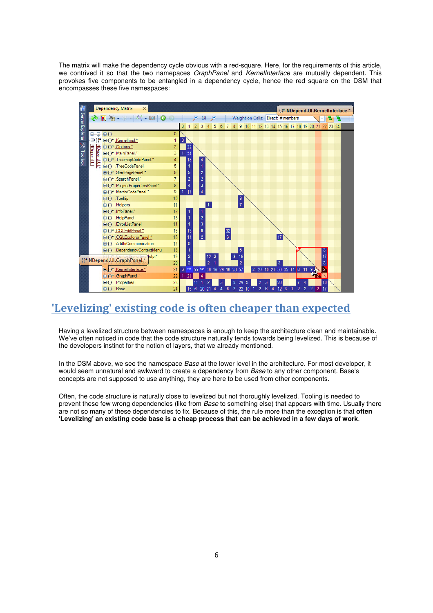The matrix will make the dependency cycle obvious with a red-square. Here, for the requirements of this article, we contrived it so that the two namepaces GraphPanel and KernelInterface are mutually dependent. This provokes five components to be entangled in a dependency cycle, hence the red square on the DSM that encompasses these five namespaces:



### 'Levelizing' existing code is often cheaper than expected

Having a levelized structure between namespaces is enough to keep the architecture clean and maintainable. We've often noticed in code that the code structure naturally tends towards being levelized. This is because of the developers instinct for the notion of layers, that we already mentioned.

In the DSM above, we see the namespace Base at the lower level in the architecture. For most developer, it would seem unnatural and awkward to create a dependency from *Base* to any other component. Base's concepts are not supposed to use anything, they are here to be used from other components.

Often, the code structure is naturally close to levelized but not thoroughly levelized. Tooling is needed to prevent these few wrong dependencies (like from Base to something else) that appears with time. Usually there are not so many of these dependencies to fix. Because of this, the rule more than the exception is that **often 'Levelizing' an existing code base is a cheap process that can be achieved in a few days of work**.